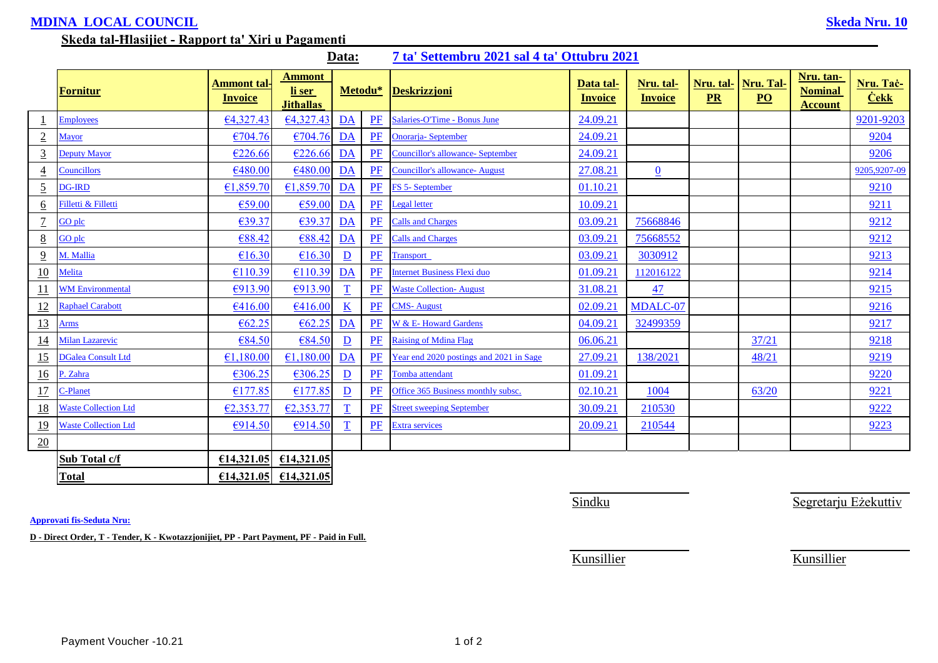## **MDINA LOCAL COUNCIL Skeda Nru. 10**

## **Skeda tal-Ħlasijiet - Rapport ta' Xiri u Pagamenti**

|                 | 7 ta' Settembru 2021 sal 4 ta' Ottubru 2021<br>Data: |                               |                                             |                          |       |                                          |                             |                             |                 |                               |                                               |                          |
|-----------------|------------------------------------------------------|-------------------------------|---------------------------------------------|--------------------------|-------|------------------------------------------|-----------------------------|-----------------------------|-----------------|-------------------------------|-----------------------------------------------|--------------------------|
|                 | Fornitur                                             | Ammont tal-<br><b>Invoice</b> | <b>Ammont</b><br>li ser<br><b>Jithallas</b> | Metodu*                  |       | <b>Deskrizzjoni</b>                      | Data tal-<br><b>Invoice</b> | Nru. tal-<br><b>Invoice</b> | Nru. tal-<br>PR | Nru. Tal-<br>$\underline{PO}$ | Nru. tan-<br><b>Nominal</b><br><b>Account</b> | Nru. Tač-<br><b>Cekk</b> |
|                 | <b>Employees</b>                                     | 64,327.43                     | 64,327.43                                   | DA                       | PF    | Salaries-O'Time - Bonus June             | 24.09.21                    |                             |                 |                               |                                               | 9201-9203                |
| $\sqrt{2}$      | <b>Mayor</b>                                         | €704.76                       | €704.76                                     | $\overline{\mathbf{DA}}$ | PF    | <b>Onorarja-September</b>                | 24.09.21                    |                             |                 |                               |                                               | 9204                     |
| $\overline{3}$  | <b>Deputy Mayor</b>                                  | €226.66                       | €226.66                                     | DA                       | PF    | <b>Councillor's allowance- September</b> | 24.09.21                    |                             |                 |                               |                                               | 9206                     |
| $\overline{4}$  | <b>Councillors</b>                                   | €480.00                       | €480.00                                     | DA                       | PF    | <b>Councillor's allowance- August</b>    | 27.08.21                    | $\overline{0}$              |                 |                               |                                               | 9205,9207-09             |
| $\overline{5}$  | <b>OG-IRD</b>                                        | €1,859.70                     | £1,859.70                                   | $\overline{\mathbf{DA}}$ | PF    | FS 5- September                          | 01.10.21                    |                             |                 |                               |                                               | 9210                     |
| 6               | Filletti & Filletti                                  | €59.00                        | €59.00                                      | $\overline{\mathbf{DA}}$ | PF    | <b>Legal letter</b>                      | 10.09.21                    |                             |                 |                               |                                               | 9211                     |
| $\overline{1}$  | GO plc                                               | €39.37                        | €39.37                                      | $\underline{DA}$         | PF    | <b>Calls and Charges</b>                 | 03.09.21                    | 75668846                    |                 |                               |                                               | 9212                     |
| $8\overline{8}$ | GO plc                                               | €88.42                        | €88.42                                      | $\overline{\mathbf{DA}}$ | PF    | <b>Calls and Charges</b>                 | 03.09.21                    | 75668552                    |                 |                               |                                               | 9212                     |
| $\overline{9}$  | M. Mallia                                            | €16.30                        | £16.30                                      | $\mathbf{D}$             | PF    | <b>Transport</b>                         | 03.09.21                    | 3030912                     |                 |                               |                                               | 9213                     |
| 10              | Melita                                               | €110.39                       | €110.39                                     | DA                       | PF    | <b>Internet Business Flexi duo</b>       | 01.09.21                    | 112016122                   |                 |                               |                                               | 9214                     |
| <u> 11</u>      | <b>WM Environmental</b>                              | €913.90                       | €913.90                                     | T                        | PF    | <b>Waste Collection-August</b>           | 31.08.21                    | 47                          |                 |                               |                                               | 9215                     |
| 12              | Raphael Carabott                                     | €416.00                       | £416.00                                     | $\underline{\mathbf{K}}$ | PF    | <b>CMS-August</b>                        | 02.09.21                    | MDALC-07                    |                 |                               |                                               | 9216                     |
| 13              | Arms                                                 | € $62.25$                     | € $62.25$                                   | DA                       | $P$ F | <b>W</b> & E-Howard Gardens              | 04.09.21                    | 32499359                    |                 |                               |                                               | 9217                     |
| 14              | Milan Lazarevic                                      | €84.50                        | €84.50                                      | $\mathbf{D}$             | PF    | <b>Raising of Mdina Flag</b>             | 06.06.21                    |                             |                 | 37/21                         |                                               | 9218                     |
| 15              | <b>DGalea Consult Ltd</b>                            | €1,180.00                     | €1,180.00                                   | DA                       | PF    | Year end 2020 postings and 2021 in Sage  | 27.09.21                    | 138/2021                    |                 | 48/21                         |                                               | 9219                     |
| 16              | P. Zahra                                             | €306.25                       | €306.25                                     | $\overline{\mathbf{D}}$  | PF    | Tomba attendant                          | 01.09.21                    |                             |                 |                               |                                               | 9220                     |
| 17              | -Planet                                              | €177.85                       | €177.85                                     | $\mathbf{D}$             | PF    | Office 365 Business monthly subsc.       | 02.10.21                    | 1004                        |                 | 63/20                         |                                               | 9221                     |
| 18              | <b>Waste Collection Ltd</b>                          | E2,353.77                     | €2,353.77                                   |                          | PF    | <b>Street sweeping September</b>         | 30.09.21                    | 210530                      |                 |                               |                                               | 9222                     |
| <u>19</u>       | <b>Waste Collection Ltd</b>                          | €914.50                       | €914.50                                     | $\overline{\mathbf{T}}$  | PF    | <b>Extra services</b>                    | 20.09.21                    | 210544                      |                 |                               |                                               | 9223                     |
| 20              |                                                      |                               |                                             |                          |       |                                          |                             |                             |                 |                               |                                               |                          |
|                 | Sub Total c/f                                        | €14,321.05                    | £14,321.05                                  |                          |       |                                          |                             |                             |                 |                               |                                               |                          |
|                 | Total                                                |                               | $\epsilon$ 14,321.05 $\epsilon$ 14,321.05   |                          |       |                                          |                             |                             |                 |                               |                                               |                          |

**Approvati fis-Seduta Nru:**

**D - Direct Order, T - Tender, K - Kwotazzjonijiet, PP - Part Payment, PF - Paid in Full.**

Sindku Segretarju Eżekuttiv

Kunsillier Kunsillier